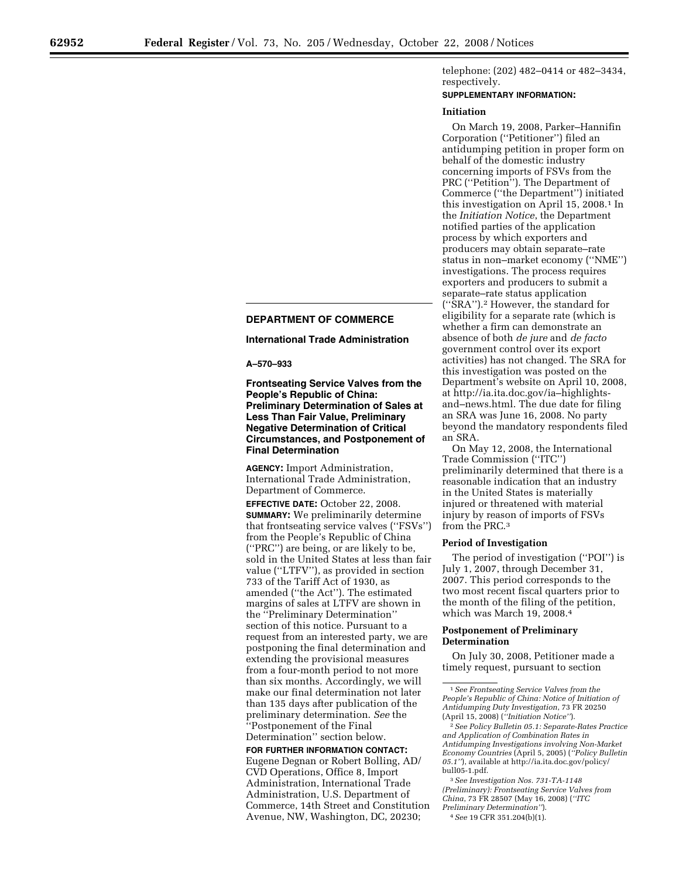telephone: (202) 482–0414 or 482–3434, respectively.

# **SUPPLEMENTARY INFORMATION:**

#### **Initiation**

On March 19, 2008, Parker–Hannifin Corporation (''Petitioner'') filed an antidumping petition in proper form on behalf of the domestic industry concerning imports of FSVs from the PRC (''Petition''). The Department of Commerce (''the Department'') initiated this investigation on April 15, 2008.1 In the *Initiation Notice*, the Department notified parties of the application process by which exporters and producers may obtain separate–rate status in non–market economy (''NME'') investigations. The process requires exporters and producers to submit a separate–rate status application (''SRA'').2 However, the standard for eligibility for a separate rate (which is whether a firm can demonstrate an absence of both *de jure* and *de facto*  government control over its export activities) has not changed. The SRA for this investigation was posted on the Department's website on April 10, 2008, at http://ia.ita.doc.gov/ia–highlightsand–news.html. The due date for filing an SRA was June 16, 2008. No party beyond the mandatory respondents filed an SRA.

On May 12, 2008, the International Trade Commission (''ITC'') preliminarily determined that there is a reasonable indication that an industry in the United States is materially injured or threatened with material injury by reason of imports of FSVs from the PRC.3

## **Period of Investigation**

The period of investigation (''POI'') is July 1, 2007, through December 31, 2007. This period corresponds to the two most recent fiscal quarters prior to the month of the filing of the petition, which was March 19, 2008.4

## **Postponement of Preliminary Determination**

On July 30, 2008, Petitioner made a timely request, pursuant to section

3*See Investigation Nos. 731-TA-1148 (Preliminary): Frontseating Service Valves from China*, 73 FR 28507 (May 16, 2008) (*''ITC* 

*Preliminary Determination''*).

## 4*See* 19 CFR 351.204(b)(1).

## **DEPARTMENT OF COMMERCE**

#### **International Trade Administration**

**A–570–933** 

**Frontseating Service Valves from the People's Republic of China: Preliminary Determination of Sales at Less Than Fair Value, Preliminary Negative Determination of Critical Circumstances, and Postponement of Final Determination** 

**AGENCY:** Import Administration, International Trade Administration, Department of Commerce.

**EFFECTIVE DATE:** October 22, 2008. **SUMMARY:** We preliminarily determine that frontseating service valves (''FSVs'') from the People's Republic of China (''PRC'') are being, or are likely to be, sold in the United States at less than fair value (''LTFV''), as provided in section 733 of the Tariff Act of 1930, as amended (''the Act''). The estimated margins of sales at LTFV are shown in the ''Preliminary Determination'' section of this notice. Pursuant to a request from an interested party, we are postponing the final determination and extending the provisional measures from a four-month period to not more than six months. Accordingly, we will make our final determination not later than 135 days after publication of the preliminary determination. *See* the ''Postponement of the Final Determination'' section below.

**FOR FURTHER INFORMATION CONTACT:**  Eugene Degnan or Robert Bolling, AD/ CVD Operations, Office 8, Import Administration, International Trade Administration, U.S. Department of Commerce, 14th Street and Constitution Avenue, NW, Washington, DC, 20230;

<sup>1</sup>*See Frontseating Service Valves from the People's Republic of China: Notice of Initiation of Antidumping Duty Investigation*, 73 FR 20250 (April 15, 2008) (*''Initiation Notice''*).

<sup>2</sup>*See Policy Bulletin 05.1: Separate-Rates Practice and Application of Combination Rates in Antidumping Investigations involving Non-Market Economy Countries* (April 5, 2005) (*''Policy Bulletin 05.1''*), available at http://ia.ita.doc.gov/policy/ bull05-1.pdf.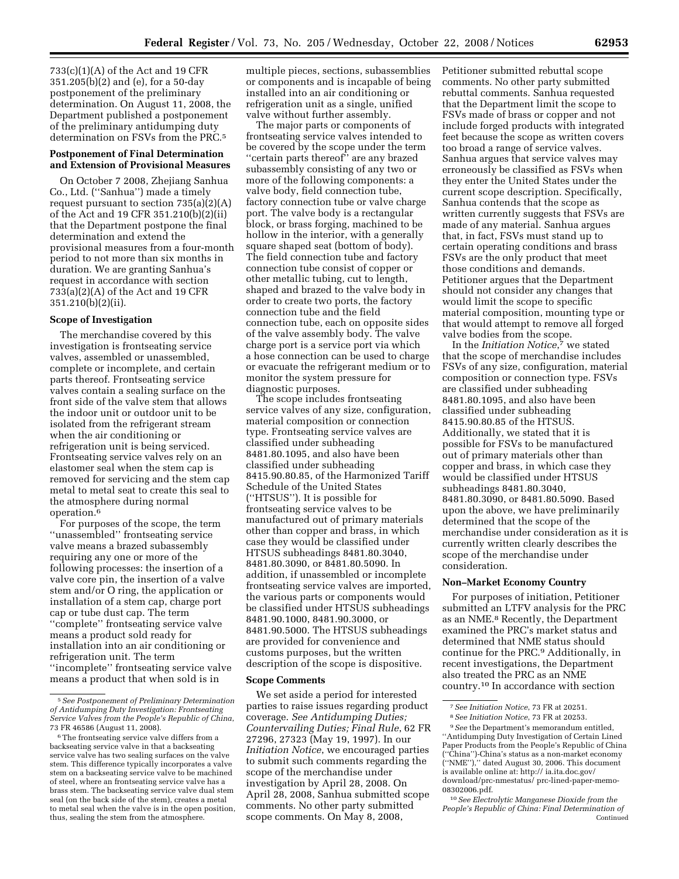733(c)(1)(A) of the Act and 19 CFR 351.205(b)(2) and (e), for a 50-day postponement of the preliminary determination. On August 11, 2008, the Department published a postponement of the preliminary antidumping duty determination on FSVs from the PRC.<sup>5</sup>

## **Postponement of Final Determination and Extension of Provisional Measures**

On October 7 2008, Zhejiang Sanhua Co., Ltd. (''Sanhua'') made a timely request pursuant to section  $735(a)(2)(A)$ of the Act and 19 CFR 351.210(b)(2)(ii) that the Department postpone the final determination and extend the provisional measures from a four-month period to not more than six months in duration. We are granting Sanhua's request in accordance with section 733(a)(2)(A) of the Act and 19 CFR 351.210(b)(2)(ii).

## **Scope of Investigation**

The merchandise covered by this investigation is frontseating service valves, assembled or unassembled, complete or incomplete, and certain parts thereof. Frontseating service valves contain a sealing surface on the front side of the valve stem that allows the indoor unit or outdoor unit to be isolated from the refrigerant stream when the air conditioning or refrigeration unit is being serviced. Frontseating service valves rely on an elastomer seal when the stem cap is removed for servicing and the stem cap metal to metal seat to create this seal to the atmosphere during normal operation.6

For purposes of the scope, the term ''unassembled'' frontseating service valve means a brazed subassembly requiring any one or more of the following processes: the insertion of a valve core pin, the insertion of a valve stem and/or O ring, the application or installation of a stem cap, charge port cap or tube dust cap. The term ''complete'' frontseating service valve means a product sold ready for installation into an air conditioning or refrigeration unit. The term ''incomplete'' frontseating service valve means a product that when sold is in

multiple pieces, sections, subassemblies or components and is incapable of being installed into an air conditioning or refrigeration unit as a single, unified valve without further assembly.

The major parts or components of frontseating service valves intended to be covered by the scope under the term ''certain parts thereof'' are any brazed subassembly consisting of any two or more of the following components: a valve body, field connection tube, factory connection tube or valve charge port. The valve body is a rectangular block, or brass forging, machined to be hollow in the interior, with a generally square shaped seat (bottom of body). The field connection tube and factory connection tube consist of copper or other metallic tubing, cut to length, shaped and brazed to the valve body in order to create two ports, the factory connection tube and the field connection tube, each on opposite sides of the valve assembly body. The valve charge port is a service port via which a hose connection can be used to charge or evacuate the refrigerant medium or to monitor the system pressure for diagnostic purposes.

The scope includes frontseating service valves of any size, configuration, material composition or connection type. Frontseating service valves are classified under subheading 8481.80.1095, and also have been classified under subheading 8415.90.80.85, of the Harmonized Tariff Schedule of the United States (''HTSUS''). It is possible for frontseating service valves to be manufactured out of primary materials other than copper and brass, in which case they would be classified under HTSUS subheadings 8481.80.3040, 8481.80.3090, or 8481.80.5090. In addition, if unassembled or incomplete frontseating service valves are imported, the various parts or components would be classified under HTSUS subheadings 8481.90.1000, 8481.90.3000, or 8481.90.5000. The HTSUS subheadings are provided for convenience and customs purposes, but the written description of the scope is dispositive.

#### **Scope Comments**

We set aside a period for interested parties to raise issues regarding product coverage. *See Antidumping Duties; Countervailing Duties; Final Rule*, 62 FR 27296, 27323 (May 19, 1997). In our *Initiation Notice*, we encouraged parties to submit such comments regarding the scope of the merchandise under investigation by April 28, 2008. On April 28, 2008, Sanhua submitted scope comments. No other party submitted scope comments. On May 8, 2008,

Petitioner submitted rebuttal scope comments. No other party submitted rebuttal comments. Sanhua requested that the Department limit the scope to FSVs made of brass or copper and not include forged products with integrated feet because the scope as written covers too broad a range of service valves. Sanhua argues that service valves may erroneously be classified as FSVs when they enter the United States under the current scope description. Specifically, Sanhua contends that the scope as written currently suggests that FSVs are made of any material. Sanhua argues that, in fact, FSVs must stand up to certain operating conditions and brass FSVs are the only product that meet those conditions and demands. Petitioner argues that the Department should not consider any changes that would limit the scope to specific material composition, mounting type or that would attempt to remove all forged valve bodies from the scope.

In the *Initiation Notice*,7 we stated that the scope of merchandise includes FSVs of any size, configuration, material composition or connection type. FSVs are classified under subheading 8481.80.1095, and also have been classified under subheading 8415.90.80.85 of the HTSUS. Additionally, we stated that it is possible for FSVs to be manufactured out of primary materials other than copper and brass, in which case they would be classified under HTSUS subheadings 8481.80.3040, 8481.80.3090, or 8481.80.5090. Based upon the above, we have preliminarily determined that the scope of the merchandise under consideration as it is currently written clearly describes the scope of the merchandise under consideration.

## **Non–Market Economy Country**

For purposes of initiation, Petitioner submitted an LTFV analysis for the PRC as an NME.8 Recently, the Department examined the PRC's market status and determined that NME status should continue for the PRC.9 Additionally, in recent investigations, the Department also treated the PRC as an NME country.10 In accordance with section

<sup>5</sup>*See Postponement of Preliminary Determination of Antidumping Duty Investigation: Frontseating Service Valves from the People's Republic of China*, 73 FR 46586 (August 11, 2008).

<sup>6</sup>The frontseating service valve differs from a backseating service valve in that a backseating service valve has two sealing surfaces on the valve stem. This difference typically incorporates a valve stem on a backseating service valve to be machined of steel, where an frontseating service valve has a brass stem. The backseating service valve dual stem seal (on the back side of the stem), creates a metal to metal seal when the valve is in the open position, thus, sealing the stem from the atmosphere.

<sup>7</sup>*See Initiation Notice*, 73 FR at 20251.

<sup>8</sup>*See Initiation Notice*, 73 FR at 20253.

<sup>9</sup>*See* the Department's memorandum entitled, ''Antidumping Duty Investigation of Certain Lined Paper Products from the People's Republic of China (''China'')-China's status as a non-market economy (''NME''),'' dated August 30, 2006. This document is available online at: http:// ia.ita.doc.gov/ download/prc-nmestatus/ prc-lined-paper-memo-08302006.pdf.

<sup>10</sup>*See Electrolytic Manganese Dioxide from the People's Republic of China: Final Determination of*  Continued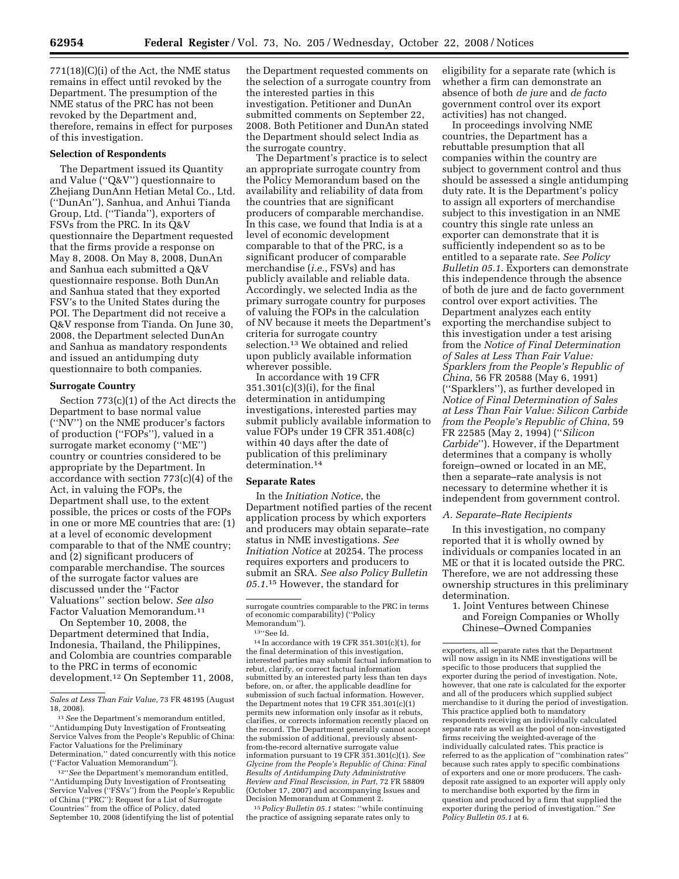771(18)(C)(i) of the Act, the NME status remains in effect until revoked by the Department. The presumption of the NME status of the PRC has not been revoked by the Department and, therefore, remains in effect for purposes of this investigation.

#### **Selection of Respondents**

The Department issued its Quantity and Value (''Q&V'') questionnaire to Zhejiang DunAnn Hetian Metal Co., Ltd. (''DunAn''), Sanhua, and Anhui Tianda Group, Ltd. (''Tianda''), exporters of FSVs from the PRC. In its Q&V questionnaire the Department requested that the firms provide a response on May 8, 2008. On May 8, 2008, DunAn and Sanhua each submitted a Q&V questionnaire response. Both DunAn and Sanhua stated that they exported FSV's to the United States during the POI. The Department did not receive a Q&V response from Tianda. On June 30, 2008, the Department selected DunAn and Sanhua as mandatory respondents and issued an antidumping duty questionnaire to both companies.

#### **Surrogate Country**

Section 773(c)(1) of the Act directs the Department to base normal value (''NV'') on the NME producer's factors of production (''FOPs''), valued in a surrogate market economy (''ME'') country or countries considered to be appropriate by the Department. In accordance with section 773(c)(4) of the Act, in valuing the FOPs, the Department shall use, to the extent possible, the prices or costs of the FOPs in one or more ME countries that are: (1) at a level of economic development comparable to that of the NME country; and (2) significant producers of comparable merchandise. The sources of the surrogate factor values are discussed under the ''Factor Valuations'' section below. *See also*  Factor Valuation Memorandum.11

On September 10, 2008, the Department determined that India, Indonesia, Thailand, the Philippines, and Colombia are countries comparable to the PRC in terms of economic development.12 On September 11, 2008,

12''*See* the Department's memorandum entitled, ''Antidumping Duty Investigation of Frontseating Service Valves ("FSVs") from the People's Republic of China (''PRC''): Request for a List of Surrogate Countries'' from the office of Policy, dated September 10, 2008 (identifying the list of potential

the Department requested comments on the selection of a surrogate country from the interested parties in this investigation. Petitioner and DunAn submitted comments on September 22, 2008. Both Petitioner and DunAn stated the Department should select India as the surrogate country.

The Department's practice is to select an appropriate surrogate country from the Policy Memorandum based on the availability and reliability of data from the countries that are significant producers of comparable merchandise. In this case, we found that India is at a level of economic development comparable to that of the PRC, is a significant producer of comparable merchandise (*i.e.*, FSVs) and has publicly available and reliable data. Accordingly, we selected India as the primary surrogate country for purposes of valuing the FOPs in the calculation of NV because it meets the Department's criteria for surrogate country selection.13 We obtained and relied upon publicly available information wherever possible.

In accordance with 19 CFR 351.301(c)(3)(i), for the final determination in antidumping investigations, interested parties may submit publicly available information to value FOPs under 19 CFR 351.408(c) within 40 days after the date of publication of this preliminary determination.14

### **Separate Rates**

In the *Initiation Notice*, the Department notified parties of the recent application process by which exporters and producers may obtain separate–rate status in NME investigations. *See Initiation Notice* at 20254. The process requires exporters and producers to submit an SRA. *See also Policy Bulletin 05.1*.15 However, the standard for

14 In accordance with 19 CFR 351.301(c)(1), for the final determination of this investigation, interested parties may submit factual information to rebut, clarify, or correct factual information submitted by an interested party less than ten days before, on, or after, the applicable deadline for submission of such factual information. However, the Department notes that 19 CFR 351.301(c)(1) permits new information only insofar as it rebuts, clarifies, or corrects information recently placed on the record. The Department generally cannot accept the submission of additional, previously absentfrom-the-record alternative surrogate value information pursuant to 19 CFR 351.301(c)(1). *See Glycine from the People's Republic of China: Final Results of Antidumping Duty Administrative Review and Final Rescission, in Part*, 72 FR 58809 (October 17, 2007) and accompanying Issues and

<sup>15</sup> Policy Bulletin 05.1 states: "while continuing the practice of assigning separate rates only to

eligibility for a separate rate (which is whether a firm can demonstrate an absence of both *de jure* and *de facto*  government control over its export activities) has not changed.

In proceedings involving NME countries, the Department has a rebuttable presumption that all companies within the country are subject to government control and thus should be assessed a single antidumping duty rate. It is the Department's policy to assign all exporters of merchandise subject to this investigation in an NME country this single rate unless an exporter can demonstrate that it is sufficiently independent so as to be entitled to a separate rate. *See Policy Bulletin 05.1*. Exporters can demonstrate this independence through the absence of both de jure and de facto government control over export activities. The Department analyzes each entity exporting the merchandise subject to this investigation under a test arising from the *Notice of Final Determination of Sales at Less Than Fair Value: Sparklers from the People's Republic of China*, 56 FR 20588 (May 6, 1991) (''Sparklers''), as further developed in *Notice of Final Determination of Sales at Less Than Fair Value: Silicon Carbide from the People's Republic of China*, 59 FR 22585 (May 2, 1994) (''*Silicon Carbide*''). However, if the Department determines that a company is wholly foreign–owned or located in an ME, then a separate–rate analysis is not necessary to determine whether it is independent from government control.

#### *A. Separate–Rate Recipients*

In this investigation, no company reported that it is wholly owned by individuals or companies located in an ME or that it is located outside the PRC. Therefore, we are not addressing these ownership structures in this preliminary determination.

1. Joint Ventures between Chinese and Foreign Companies or Wholly Chinese–Owned Companies

exporters, all separate rates that the Department will now assign in its NME investigations will be specific to those producers that supplied the exporter during the period of investigation. Note, however, that one rate is calculated for the exporter and all of the producers which supplied subject merchandise to it during the period of investigation. This practice applied both to mandatory respondents receiving an individually calculated separate rate as well as the pool of non-investigated firms receiving the weighted-average of the individually calculated rates. This practice is referred to as the application of ''combination rates'' because such rates apply to specific combinations of exporters and one or more producers. The cashdeposit rate assigned to an exporter will apply only to merchandise both exported by the firm in question and produced by a firm that supplied the exporter during the period of investigation.'' *See Policy Bulletin 05.1* at 6.

*Sales at Less Than Fair Value*, 73 FR 48195 (August 18, 2008).

<sup>11</sup>*See* the Department's memorandum entitled, ''Antidumping Duty Investigation of Frontseating Service Valves from the People's Republic of China: Factor Valuations for the Preliminary Determination,'' dated concurrently with this notice (''Factor Valuation Memorandum'').

surrogate countries comparable to the PRC in terms of economic comparability) (''Policy Memorandum").<br><sup>13"</sup>See Id.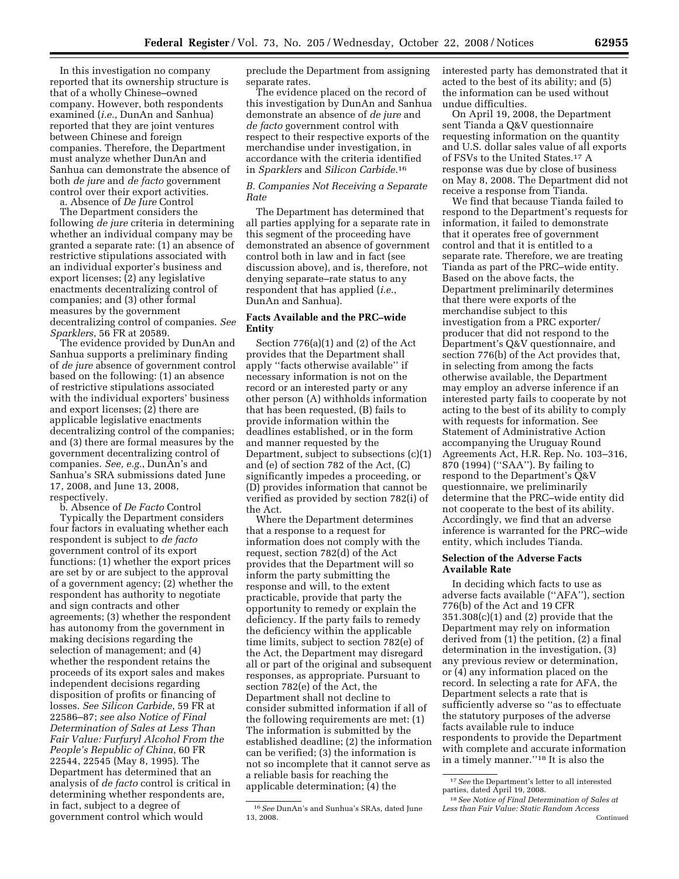In this investigation no company reported that its ownership structure is that of a wholly Chinese–owned company. However, both respondents examined (*i.e.*, DunAn and Sanhua) reported that they are joint ventures between Chinese and foreign companies. Therefore, the Department must analyze whether DunAn and Sanhua can demonstrate the absence of both *de jure* and *de facto* government control over their export activities.

a. Absence of *De Jure* Control The Department considers the following *de jure* criteria in determining whether an individual company may be granted a separate rate: (1) an absence of restrictive stipulations associated with an individual exporter's business and export licenses; (2) any legislative enactments decentralizing control of companies; and (3) other formal measures by the government decentralizing control of companies. *See Sparklers*, 56 FR at 20589.

The evidence provided by DunAn and Sanhua supports a preliminary finding of *de jure* absence of government control based on the following: (1) an absence of restrictive stipulations associated with the individual exporters' business and export licenses; (2) there are applicable legislative enactments decentralizing control of the companies; and (3) there are formal measures by the government decentralizing control of companies. *See, e.g.*, DunAn's and Sanhua's SRA submissions dated June 17, 2008, and June 13, 2008, respectively.

b. Absence of *De Facto* Control

Typically the Department considers four factors in evaluating whether each respondent is subject to *de facto*  government control of its export functions: (1) whether the export prices are set by or are subject to the approval of a government agency; (2) whether the respondent has authority to negotiate and sign contracts and other agreements; (3) whether the respondent has autonomy from the government in making decisions regarding the selection of management; and (4) whether the respondent retains the proceeds of its export sales and makes independent decisions regarding disposition of profits or financing of losses. *See Silicon Carbide*, 59 FR at 22586–87; *see also Notice of Final Determination of Sales at Less Than Fair Value: Furfuryl Alcohol From the People's Republic of China*, 60 FR 22544, 22545 (May 8, 1995). The Department has determined that an analysis of *de facto* control is critical in determining whether respondents are, in fact, subject to a degree of government control which would

preclude the Department from assigning separate rates.

The evidence placed on the record of this investigation by DunAn and Sanhua demonstrate an absence of *de jure* and *de facto* government control with respect to their respective exports of the merchandise under investigation, in accordance with the criteria identified in *Sparklers* and *Silicon Carbide*.16

### *B. Companies Not Receiving a Separate Rate*

The Department has determined that all parties applying for a separate rate in this segment of the proceeding have demonstrated an absence of government control both in law and in fact (see discussion above), and is, therefore, not denying separate–rate status to any respondent that has applied (*i.e.*, DunAn and Sanhua).

## **Facts Available and the PRC–wide Entity**

Section 776(a)(1) and (2) of the Act provides that the Department shall apply ''facts otherwise available'' if necessary information is not on the record or an interested party or any other person (A) withholds information that has been requested, (B) fails to provide information within the deadlines established, or in the form and manner requested by the Department, subject to subsections (c)(1) and (e) of section 782 of the Act, (C) significantly impedes a proceeding, or (D) provides information that cannot be verified as provided by section 782(i) of the Act.

Where the Department determines that a response to a request for information does not comply with the request, section 782(d) of the Act provides that the Department will so inform the party submitting the response and will, to the extent practicable, provide that party the opportunity to remedy or explain the deficiency. If the party fails to remedy the deficiency within the applicable time limits, subject to section 782(e) of the Act, the Department may disregard all or part of the original and subsequent responses, as appropriate. Pursuant to section 782(e) of the Act, the Department shall not decline to consider submitted information if all of the following requirements are met: (1) The information is submitted by the established deadline; (2) the information can be verified; (3) the information is not so incomplete that it cannot serve as a reliable basis for reaching the applicable determination; (4) the

interested party has demonstrated that it acted to the best of its ability; and (5) the information can be used without undue difficulties.

On April 19, 2008, the Department sent Tianda a Q&V questionnaire requesting information on the quantity and U.S. dollar sales value of all exports of FSVs to the United States.17 A response was due by close of business on May 8, 2008. The Department did not receive a response from Tianda.

We find that because Tianda failed to respond to the Department's requests for information, it failed to demonstrate that it operates free of government control and that it is entitled to a separate rate. Therefore, we are treating Tianda as part of the PRC–wide entity. Based on the above facts, the Department preliminarily determines that there were exports of the merchandise subject to this investigation from a PRC exporter/ producer that did not respond to the Department's Q&V questionnaire, and section 776(b) of the Act provides that, in selecting from among the facts otherwise available, the Department may employ an adverse inference if an interested party fails to cooperate by not acting to the best of its ability to comply with requests for information. See Statement of Administrative Action accompanying the Uruguay Round Agreements Act, H.R. Rep. No. 103–316, 870 (1994) (''SAA''). By failing to respond to the Department's Q&V questionnaire, we preliminarily determine that the PRC–wide entity did not cooperate to the best of its ability. Accordingly, we find that an adverse inference is warranted for the PRC–wide entity, which includes Tianda.

### **Selection of the Adverse Facts Available Rate**

In deciding which facts to use as adverse facts available (''AFA''), section 776(b) of the Act and 19 CFR 351.308(c)(1) and (2) provide that the Department may rely on information derived from (1) the petition, (2) a final determination in the investigation, (3) any previous review or determination, or (4) any information placed on the record. In selecting a rate for AFA, the Department selects a rate that is sufficiently adverse so ''as to effectuate the statutory purposes of the adverse facts available rule to induce respondents to provide the Department with complete and accurate information in a timely manner.''18 It is also the

<sup>16</sup>*See* DunAn's and Sunhua's SRAs, dated June 13, 2008.

<sup>&</sup>lt;sup>17</sup> See the Department's letter to all interested parties, dated April 19, 2008.

<sup>&</sup>lt;sup>18</sup> See Notice of Final Determination of Sales at *Less than Fair Value: Static Random Access*  Continued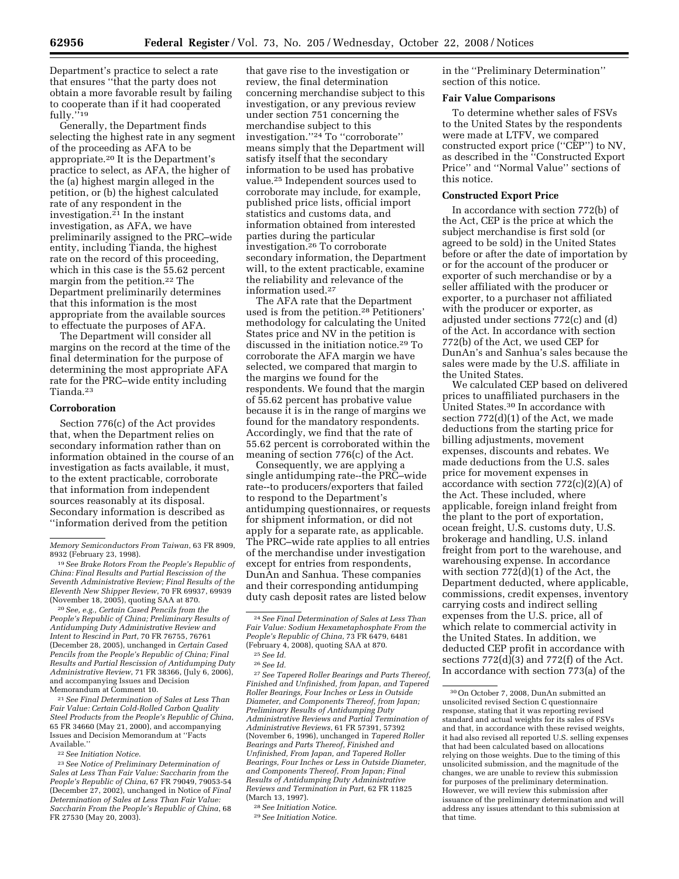Department's practice to select a rate that ensures ''that the party does not obtain a more favorable result by failing to cooperate than if it had cooperated fully."<sup>19</sup>

Generally, the Department finds selecting the highest rate in any segment of the proceeding as AFA to be appropriate.20 It is the Department's practice to select, as AFA, the higher of the (a) highest margin alleged in the petition, or (b) the highest calculated rate of any respondent in the investigation.21 In the instant investigation, as AFA, we have preliminarily assigned to the PRC–wide entity, including Tianda, the highest rate on the record of this proceeding, which in this case is the 55.62 percent margin from the petition.22 The Department preliminarily determines that this information is the most appropriate from the available sources to effectuate the purposes of AFA.

The Department will consider all margins on the record at the time of the final determination for the purpose of determining the most appropriate AFA rate for the PRC–wide entity including Tianda.23

### **Corroboration**

Section 776(c) of the Act provides that, when the Department relies on secondary information rather than on information obtained in the course of an investigation as facts available, it must, to the extent practicable, corroborate that information from independent sources reasonably at its disposal. Secondary information is described as ''information derived from the petition

20*See, e.g., Certain Cased Pencils from the People's Republic of China; Preliminary Results of Antidumping Duty Administrative Review and Intent to Rescind in Part*, 70 FR 76755, 76761 (December 28, 2005), unchanged in *Certain Cased Pencils from the People's Republic of China; Final Results and Partial Rescission of Antidumping Duty Administrative Review*, 71 FR 38366, (July 6, 2006), and accompanying Issues and Decision Memorandum at Comment 10.

21*See Final Determination of Sales at Less Than Fair Value: Certain Cold-Rolled Carbon Quality Steel Products from the People's Republic of China*, 65 FR 34660 (May 21, 2000), and accompanying Issues and Decision Memorandum at ''Facts Available.''

22*See Initiation Notice*.

23*See Notice of Preliminary Determination of Sales at Less Than Fair Value: Saccharin from the People's Republic of China*, 67 FR 79049, 79053-54 (December 27, 2002), unchanged in Notice of *Final Determination of Sales at Less Than Fair Value: Saccharin From the People's Republic of China*, 68 FR 27530 (May 20, 2003).

that gave rise to the investigation or review, the final determination concerning merchandise subject to this investigation, or any previous review under section 751 concerning the merchandise subject to this investigation.''24 To ''corroborate'' means simply that the Department will satisfy itself that the secondary information to be used has probative value.25 Independent sources used to corroborate may include, for example, published price lists, official import statistics and customs data, and information obtained from interested parties during the particular investigation.26 To corroborate secondary information, the Department will, to the extent practicable, examine the reliability and relevance of the information used.27

The AFA rate that the Department used is from the petition.28 Petitioners' methodology for calculating the United States price and NV in the petition is discussed in the initiation notice.29 To corroborate the AFA margin we have selected, we compared that margin to the margins we found for the respondents. We found that the margin of 55.62 percent has probative value because it is in the range of margins we found for the mandatory respondents. Accordingly, we find that the rate of 55.62 percent is corroborated within the meaning of section 776(c) of the Act.

Consequently, we are applying a single antidumping rate--the PRC–wide rate--to producers/exporters that failed to respond to the Department's antidumping questionnaires, or requests for shipment information, or did not apply for a separate rate, as applicable. The PRC–wide rate applies to all entries of the merchandise under investigation except for entries from respondents, DunAn and Sanhua. These companies and their corresponding antidumping duty cash deposit rates are listed below

27*See Tapered Roller Bearings and Parts Thereof, Finished and Unfinished, from Japan, and Tapered Roller Bearings, Four Inches or Less in Outside Diameter, and Components Thereof, from Japan; Preliminary Results of Antidumping Duty Administrative Reviews and Partial Termination of Administrative Reviews*, 61 FR 57391, 57392 (November 6, 1996), unchanged in *Tapered Roller Bearings and Parts Thereof, Finished and Unfinished, From Japan, and Tapered Roller Bearings, Four Inches or Less in Outside Diameter, and Components Thereof, From Japan; Final Results of Antidumping Duty Administrative Reviews and Termination in Part*, 62 FR 11825 (March 13, 1997).

in the ''Preliminary Determination'' section of this notice.

#### **Fair Value Comparisons**

To determine whether sales of FSVs to the United States by the respondents were made at LTFV, we compared constructed export price (''CEP'') to NV, as described in the ''Constructed Export Price'' and ''Normal Value'' sections of this notice.

## **Constructed Export Price**

In accordance with section 772(b) of the Act, CEP is the price at which the subject merchandise is first sold (or agreed to be sold) in the United States before or after the date of importation by or for the account of the producer or exporter of such merchandise or by a seller affiliated with the producer or exporter, to a purchaser not affiliated with the producer or exporter, as adjusted under sections 772(c) and (d) of the Act. In accordance with section 772(b) of the Act, we used CEP for DunAn's and Sanhua's sales because the sales were made by the U.S. affiliate in the United States.

We calculated CEP based on delivered prices to unaffiliated purchasers in the United States.30 In accordance with section 772(d)(1) of the Act, we made deductions from the starting price for billing adjustments, movement expenses, discounts and rebates. We made deductions from the U.S. sales price for movement expenses in accordance with section  $772(c)(2)(A)$  of the Act. These included, where applicable, foreign inland freight from the plant to the port of exportation, ocean freight, U.S. customs duty, U.S. brokerage and handling, U.S. inland freight from port to the warehouse, and warehousing expense. In accordance with section 772(d)(1) of the Act, the Department deducted, where applicable, commissions, credit expenses, inventory carrying costs and indirect selling expenses from the U.S. price, all of which relate to commercial activity in the United States. In addition, we deducted CEP profit in accordance with sections  $772(d)(3)$  and  $772(f)$  of the Act. In accordance with section 773(a) of the

*Memory Semiconductors From Taiwan*, 63 FR 8909, 8932 (February 23, 1998).

<sup>19</sup>*See Brake Rotors From the People's Republic of China: Final Results and Partial Rescission of the Seventh Administrative Review; Final Results of the Eleventh New Shipper Review*, 70 FR 69937, 69939 (November 18, 2005), quoting SAA at 870.

<sup>24</sup>*See Final Determination of Sales at Less Than Fair Value: Sodium Hexametaphosphate From the People's Republic of China*, 73 FR 6479, 6481 (February 4, 2008), quoting SAA at 870. 25*See Id.* 

<sup>26</sup>*See Id.* 

<sup>28</sup>*See Initiation Notice*.

<sup>29</sup>*See Initiation Notice.* 

 $\rm^{30}On$  October 7, 2008, DunAn submitted an unsolicited revised Section C questionnaire response, stating that it was reporting revised standard and actual weights for its sales of FSVs and that, in accordance with these revised weights, it had also revised all reported U.S. selling expenses that had been calculated based on allocations relying on those weights. Due to the timing of this unsolicited submission, and the magnitude of the changes, we are unable to review this submission for purposes of the preliminary determination. However, we will review this submission after issuance of the preliminary determination and will address any issues attendant to this submission at that time.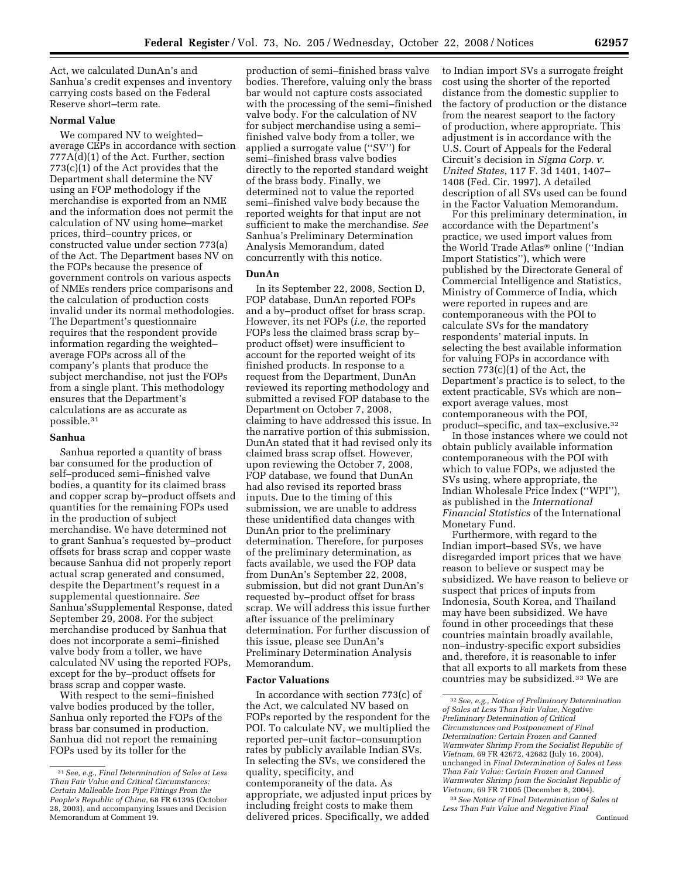Act, we calculated DunAn's and Sanhua's credit expenses and inventory carrying costs based on the Federal Reserve short–term rate.

## **Normal Value**

We compared NV to weighted– average CEPs in accordance with section 777A(d)(1) of the Act. Further, section 773(c)(1) of the Act provides that the Department shall determine the NV using an FOP methodology if the merchandise is exported from an NME and the information does not permit the calculation of NV using home–market prices, third–country prices, or constructed value under section 773(a) of the Act. The Department bases NV on the FOPs because the presence of government controls on various aspects of NMEs renders price comparisons and the calculation of production costs invalid under its normal methodologies. The Department's questionnaire requires that the respondent provide information regarding the weighted– average FOPs across all of the company's plants that produce the subject merchandise, not just the FOPs from a single plant. This methodology ensures that the Department's calculations are as accurate as possible.31

### **Sanhua**

Sanhua reported a quantity of brass bar consumed for the production of self–produced semi–finished valve bodies, a quantity for its claimed brass and copper scrap by–product offsets and quantities for the remaining FOPs used in the production of subject merchandise. We have determined not to grant Sanhua's requested by–product offsets for brass scrap and copper waste because Sanhua did not properly report actual scrap generated and consumed, despite the Department's request in a supplemental questionnaire. *See*  Sanhua'sSupplemental Response, dated September 29, 2008. For the subject merchandise produced by Sanhua that does not incorporate a semi–finished valve body from a toller, we have calculated NV using the reported FOPs, except for the by–product offsets for brass scrap and copper waste.

With respect to the semi–finished valve bodies produced by the toller, Sanhua only reported the FOPs of the brass bar consumed in production. Sanhua did not report the remaining FOPs used by its toller for the

production of semi–finished brass valve bodies. Therefore, valuing only the brass bar would not capture costs associated with the processing of the semi–finished valve body. For the calculation of NV for subject merchandise using a semi– finished valve body from a toller, we applied a surrogate value (''SV'') for semi–finished brass valve bodies directly to the reported standard weight of the brass body. Finally, we determined not to value the reported semi–finished valve body because the reported weights for that input are not sufficient to make the merchandise. *See*  Sanhua's Preliminary Determination Analysis Memorandum, dated concurrently with this notice.

### **DunAn**

In its September 22, 2008, Section D, FOP database, DunAn reported FOPs and a by–product offset for brass scrap. However, its net FOPs (*i.e*, the reported FOPs less the claimed brass scrap by– product offset) were insufficient to account for the reported weight of its finished products. In response to a request from the Department, DunAn reviewed its reporting methodology and submitted a revised FOP database to the Department on October 7, 2008, claiming to have addressed this issue. In the narrative portion of this submission, DunAn stated that it had revised only its claimed brass scrap offset. However, upon reviewing the October 7, 2008, FOP database, we found that DunAn had also revised its reported brass inputs. Due to the timing of this submission, we are unable to address these unidentified data changes with DunAn prior to the preliminary determination. Therefore, for purposes of the preliminary determination, as facts available, we used the FOP data from DunAn's September 22, 2008, submission, but did not grant DunAn's requested by–product offset for brass scrap. We will address this issue further after issuance of the preliminary determination. For further discussion of this issue, please see DunAn's Preliminary Determination Analysis Memorandum.

## **Factor Valuations**

In accordance with section 773(c) of the Act, we calculated NV based on FOPs reported by the respondent for the POI. To calculate NV, we multiplied the reported per–unit factor–consumption rates by publicly available Indian SVs. In selecting the SVs, we considered the quality, specificity, and contemporaneity of the data. As appropriate, we adjusted input prices by including freight costs to make them delivered prices. Specifically, we added

to Indian import SVs a surrogate freight cost using the shorter of the reported distance from the domestic supplier to the factory of production or the distance from the nearest seaport to the factory of production, where appropriate. This adjustment is in accordance with the U.S. Court of Appeals for the Federal Circuit's decision in *Sigma Corp. v. United States*, 117 F. 3d 1401, 1407– 1408 (Fed. Cir. 1997). A detailed description of all SVs used can be found in the Factor Valuation Memorandum.

For this preliminary determination, in accordance with the Department's practice, we used import values from the World Trade Atlas® online ("Indian Import Statistics''), which were published by the Directorate General of Commercial Intelligence and Statistics, Ministry of Commerce of India, which were reported in rupees and are contemporaneous with the POI to calculate SVs for the mandatory respondents' material inputs. In selecting the best available information for valuing FOPs in accordance with section 773(c)(1) of the Act, the Department's practice is to select, to the extent practicable, SVs which are non– export average values, most contemporaneous with the POI, product–specific, and tax–exclusive.32

In those instances where we could not obtain publicly available information contemporaneous with the POI with which to value FOPs, we adjusted the SVs using, where appropriate, the Indian Wholesale Price Index (''WPI''), as published in the *International Financial Statistics* of the International Monetary Fund.

Furthermore, with regard to the Indian import–based SVs, we have disregarded import prices that we have reason to believe or suspect may be subsidized. We have reason to believe or suspect that prices of inputs from Indonesia, South Korea, and Thailand may have been subsidized. We have found in other proceedings that these countries maintain broadly available, non–industry-specific export subsidies and, therefore, it is reasonable to infer that all exports to all markets from these countries may be subsidized.33 We are

<sup>31</sup>*See, e.g., Final Determination of Sales at Less Than Fair Value and Critical Circumstances: Certain Malleable Iron Pipe Fittings From the People's Republic of China*, 68 FR 61395 (October 28, 2003), and accompanying Issues and Decision Memorandum at Comment 19.

<sup>32</sup>*See, e.g., Notice of Preliminary Determination of Sales at Less Than Fair Value, Negative Preliminary Determination of Critical Circumstances and Postponement of Final Determination: Certain Frozen and Canned Warmwater Shrimp From the Socialist Republic of Vietnam*, 69 FR 42672, 42682 (July 16, 2004), unchanged in *Final Determination of Sales at Less Than Fair Value: Certain Frozen and Canned Warmwater Shrimp from the Socialist Republic of Vietnam*, 69 FR 71005 (December 8, 2004).

<sup>33</sup>*See Notice of Final Determination of Sales at Less Than Fair Value and Negative Final*  Continued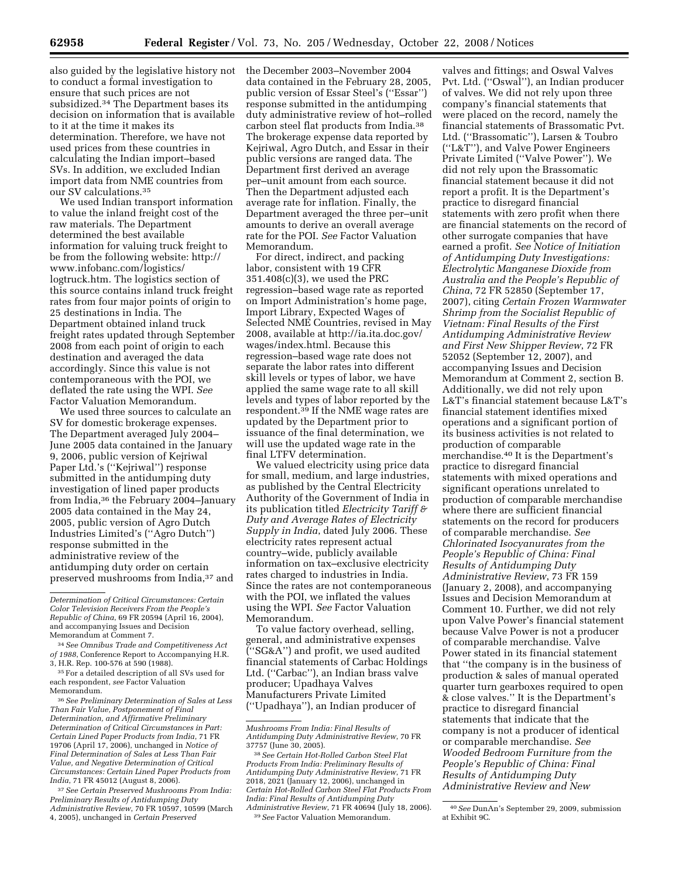also guided by the legislative history not to conduct a formal investigation to ensure that such prices are not subsidized.34 The Department bases its decision on information that is available to it at the time it makes its determination. Therefore, we have not used prices from these countries in calculating the Indian import–based SVs. In addition, we excluded Indian import data from NME countries from our SV calculations.35

We used Indian transport information to value the inland freight cost of the raw materials. The Department determined the best available information for valuing truck freight to be from the following website: http:// www.infobanc.com/logistics/ logtruck.htm. The logistics section of this source contains inland truck freight rates from four major points of origin to 25 destinations in India. The Department obtained inland truck freight rates updated through September 2008 from each point of origin to each destination and averaged the data accordingly. Since this value is not contemporaneous with the POI, we deflated the rate using the WPI. *See*  Factor Valuation Memorandum.

We used three sources to calculate an SV for domestic brokerage expenses. The Department averaged July 2004– June 2005 data contained in the January 9, 2006, public version of Kejriwal Paper Ltd.'s (''Kejriwal'') response submitted in the antidumping duty investigation of lined paper products from India,36 the February 2004–January 2005 data contained in the May 24, 2005, public version of Agro Dutch Industries Limited's (''Agro Dutch'') response submitted in the administrative review of the antidumping duty order on certain preserved mushrooms from India,37 and

36*See Preliminary Determination of Sales at Less Than Fair Value, Postponement of Final Determination, and Affirmative Preliminary Determination of Critical Circumstances in Part: Certain Lined Paper Products from India*, 71 FR 19706 (April 17, 2006), unchanged in *Notice of Final Determination of Sales at Less Than Fair Value, and Negative Determination of Critical Circumstances: Certain Lined Paper Products from India*, 71 FR 45012 (August 8, 2006).

37*See Certain Preserved Mushrooms From India: Preliminary Results of Antidumping Duty Administrative Review*, 70 FR 10597, 10599 (March 4, 2005), unchanged in *Certain Preserved* 

the December 2003–November 2004 data contained in the February 28, 2005, public version of Essar Steel's (''Essar'') response submitted in the antidumping duty administrative review of hot–rolled carbon steel flat products from India.38 The brokerage expense data reported by Kejriwal, Agro Dutch, and Essar in their public versions are ranged data. The Department first derived an average per–unit amount from each source. Then the Department adjusted each average rate for inflation. Finally, the Department averaged the three per–unit amounts to derive an overall average rate for the POI. *See* Factor Valuation Memorandum.

For direct, indirect, and packing labor, consistent with 19 CFR 351.408(c)(3), we used the PRC regression–based wage rate as reported on Import Administration's home page, Import Library, Expected Wages of Selected NME Countries, revised in May 2008, available at http://ia.ita.doc.gov/ wages/index.html. Because this regression–based wage rate does not separate the labor rates into different skill levels or types of labor, we have applied the same wage rate to all skill levels and types of labor reported by the respondent.39 If the NME wage rates are updated by the Department prior to issuance of the final determination, we will use the updated wage rate in the final LTFV determination.

We valued electricity using price data for small, medium, and large industries, as published by the Central Electricity Authority of the Government of India in its publication titled *Electricity Tariff & Duty and Average Rates of Electricity Supply in India*, dated July 2006. These electricity rates represent actual country–wide, publicly available information on tax–exclusive electricity rates charged to industries in India. Since the rates are not contemporaneous with the POI, we inflated the values using the WPI. *See* Factor Valuation Memorandum.

To value factory overhead, selling, general, and administrative expenses (''SG&A'') and profit, we used audited financial statements of Carbac Holdings Ltd. (''Carbac''), an Indian brass valve producer; Upadhaya Valves Manufacturers Private Limited (''Upadhaya''), an Indian producer of

valves and fittings; and Oswal Valves Pvt. Ltd. (''Oswal''), an Indian producer of valves. We did not rely upon three company's financial statements that were placed on the record, namely the financial statements of Brassomatic Pvt. Ltd. (''Brassomatic''), Larsen & Toubro (''L&T''), and Valve Power Engineers Private Limited (''Valve Power''). We did not rely upon the Brassomatic financial statement because it did not report a profit. It is the Department's practice to disregard financial statements with zero profit when there are financial statements on the record of other surrogate companies that have earned a profit. *See Notice of Initiation of Antidumping Duty Investigations: Electrolytic Manganese Dioxide from Australia and the People's Republic of China*, 72 FR 52850 (September 17, 2007), citing *Certain Frozen Warmwater Shrimp from the Socialist Republic of Vietnam: Final Results of the First Antidumping Administrative Review and First New Shipper Review*, 72 FR 52052 (September 12, 2007), and accompanying Issues and Decision Memorandum at Comment 2, section B. Additionally, we did not rely upon L&T's financial statement because L&T's financial statement identifies mixed operations and a significant portion of its business activities is not related to production of comparable merchandise.40 It is the Department's practice to disregard financial statements with mixed operations and significant operations unrelated to production of comparable merchandise where there are sufficient financial statements on the record for producers of comparable merchandise. *See Chlorinated Isocyanurates from the People's Republic of China: Final Results of Antidumping Duty Administrative Review*, 73 FR 159 (January 2, 2008), and accompanying Issues and Decision Memorandum at Comment 10. Further, we did not rely upon Valve Power's financial statement because Valve Power is not a producer of comparable merchandise. Valve Power stated in its financial statement that ''the company is in the business of production & sales of manual operated quarter turn gearboxes required to open & close valves.'' It is the Department's practice to disregard financial statements that indicate that the company is not a producer of identical or comparable merchandise. *See Wooded Bedroom Furniture from the People's Republic of China: Final Results of Antidumping Duty Administrative Review and New* 

*Determination of Critical Circumstances: Certain Color Television Receivers From the People's Republic of China*, 69 FR 20594 (April 16, 2004), and accompanying Issues and Decision Memorandum at Comment 7.

<sup>34</sup>*See Omnibus Trade and Competitiveness Act of 1988*, Conference Report to Accompanying H.R. 3, H.R. Rep. 100-576 at 590 (1988).

<sup>35</sup>For a detailed description of all SVs used for each respondent, *see* Factor Valuation Memorandum.

*Mushrooms From India: Final Results of Antidumping Duty Administrative Review*, 70 FR

<sup>37757 (</sup>June 30, 2005). 38*See Certain Hot-Rolled Carbon Steel Flat Products From India: Preliminary Results of Antidumping Duty Administrative Review*, 71 FR 2018, 2021 (January 12, 2006), unchanged in *Certain Hot-Rolled Carbon Steel Flat Products From India: Final Results of Antidumping Duty Administrative Review*, 71 FR 40694 (July 18, 2006). 39*See* Factor Valuation Memorandum.

<sup>40</sup>*See* DunAn's September 29, 2009, submission at Exhibit 9C.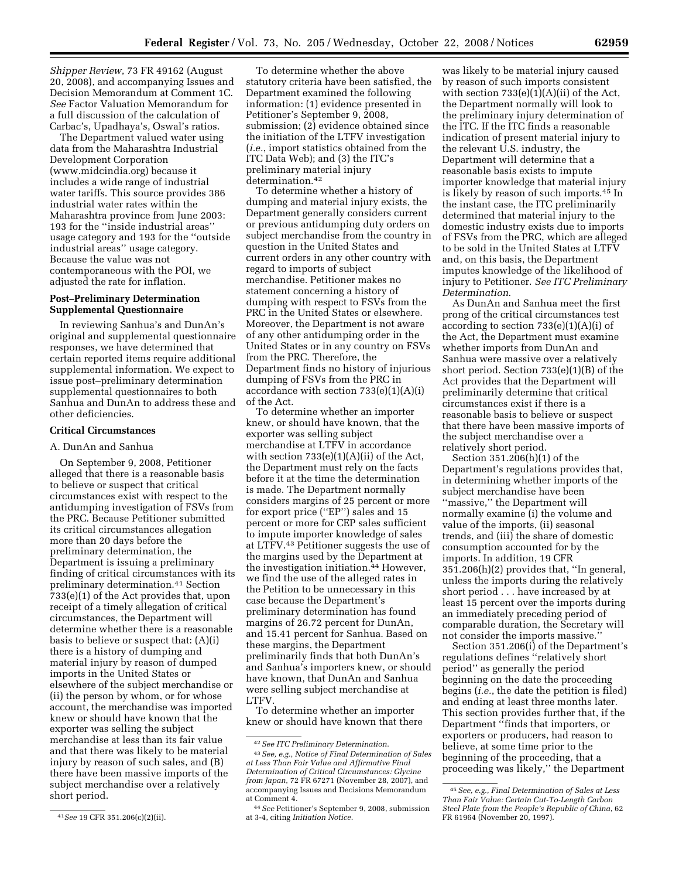*Shipper Review*, 73 FR 49162 (August 20, 2008), and accompanying Issues and Decision Memorandum at Comment 1C. *See* Factor Valuation Memorandum for a full discussion of the calculation of Carbac's, Upadhaya's, Oswal's ratios.

The Department valued water using data from the Maharashtra Industrial Development Corporation (www.midcindia.org) because it includes a wide range of industrial water tariffs. This source provides 386 industrial water rates within the Maharashtra province from June 2003: 193 for the ''inside industrial areas'' usage category and 193 for the ''outside industrial areas'' usage category. Because the value was not contemporaneous with the POI, we adjusted the rate for inflation.

## **Post–Preliminary Determination Supplemental Questionnaire**

In reviewing Sanhua's and DunAn's original and supplemental questionnaire responses, we have determined that certain reported items require additional supplemental information. We expect to issue post–preliminary determination supplemental questionnaires to both Sanhua and DunAn to address these and other deficiencies.

### **Critical Circumstances**

#### A. DunAn and Sanhua

On September 9, 2008, Petitioner alleged that there is a reasonable basis to believe or suspect that critical circumstances exist with respect to the antidumping investigation of FSVs from the PRC. Because Petitioner submitted its critical circumstances allegation more than 20 days before the preliminary determination, the Department is issuing a preliminary finding of critical circumstances with its preliminary determination.41 Section 733(e)(1) of the Act provides that, upon receipt of a timely allegation of critical circumstances, the Department will determine whether there is a reasonable basis to believe or suspect that: (A)(i) there is a history of dumping and material injury by reason of dumped imports in the United States or elsewhere of the subject merchandise or (ii) the person by whom, or for whose account, the merchandise was imported knew or should have known that the exporter was selling the subject merchandise at less than its fair value and that there was likely to be material injury by reason of such sales, and (B) there have been massive imports of the subject merchandise over a relatively short period.

To determine whether the above statutory criteria have been satisfied, the Department examined the following information: (1) evidence presented in Petitioner's September 9, 2008, submission; (2) evidence obtained since the initiation of the LTFV investigation (*i.e.*, import statistics obtained from the ITC Data Web); and (3) the ITC's preliminary material injury determination.42

To determine whether a history of dumping and material injury exists, the Department generally considers current or previous antidumping duty orders on subject merchandise from the country in question in the United States and current orders in any other country with regard to imports of subject merchandise. Petitioner makes no statement concerning a history of dumping with respect to FSVs from the PRC in the United States or elsewhere. Moreover, the Department is not aware of any other antidumping order in the United States or in any country on FSVs from the PRC. Therefore, the Department finds no history of injurious dumping of FSVs from the PRC in accordance with section 733(e)(1)(A)(i) of the Act.

To determine whether an importer knew, or should have known, that the exporter was selling subject merchandise at LTFV in accordance with section  $733(e)(1)(A)(ii)$  of the Act, the Department must rely on the facts before it at the time the determination is made. The Department normally considers margins of 25 percent or more for export price (''EP'') sales and 15 percent or more for CEP sales sufficient to impute importer knowledge of sales at LTFV.43 Petitioner suggests the use of the margins used by the Department at the investigation initiation.44 However, we find the use of the alleged rates in the Petition to be unnecessary in this case because the Department's preliminary determination has found margins of 26.72 percent for DunAn, and 15.41 percent for Sanhua. Based on these margins, the Department preliminarily finds that both DunAn's and Sanhua's importers knew, or should have known, that DunAn and Sanhua were selling subject merchandise at LTFV.

To determine whether an importer knew or should have known that there

was likely to be material injury caused by reason of such imports consistent with section  $733(e)(1)(A)(ii)$  of the Act, the Department normally will look to the preliminary injury determination of the ITC. If the ITC finds a reasonable indication of present material injury to the relevant U.S. industry, the Department will determine that a reasonable basis exists to impute importer knowledge that material injury is likely by reason of such imports.45 In the instant case, the ITC preliminarily determined that material injury to the domestic industry exists due to imports of FSVs from the PRC, which are alleged to be sold in the United States at LTFV and, on this basis, the Department imputes knowledge of the likelihood of injury to Petitioner. *See ITC Preliminary Determination*.

As DunAn and Sanhua meet the first prong of the critical circumstances test according to section  $733(e)(1)(A)(i)$  of the Act, the Department must examine whether imports from DunAn and Sanhua were massive over a relatively short period. Section 733(e)(1)(B) of the Act provides that the Department will preliminarily determine that critical circumstances exist if there is a reasonable basis to believe or suspect that there have been massive imports of the subject merchandise over a relatively short period.

Section 351.206(h)(1) of the Department's regulations provides that, in determining whether imports of the subject merchandise have been ''massive,'' the Department will normally examine (i) the volume and value of the imports, (ii) seasonal trends, and (iii) the share of domestic consumption accounted for by the imports. In addition, 19 CFR 351.206(h)(2) provides that, ''In general, unless the imports during the relatively short period . . . have increased by at least 15 percent over the imports during an immediately preceding period of comparable duration, the Secretary will not consider the imports massive.''

Section 351.206(i) of the Department's regulations defines ''relatively short period'' as generally the period beginning on the date the proceeding begins (*i.e.*, the date the petition is filed) and ending at least three months later. This section provides further that, if the Department ''finds that importers, or exporters or producers, had reason to believe, at some time prior to the beginning of the proceeding, that a proceeding was likely,'' the Department

<sup>41</sup>*See* 19 CFR 351.206(c)(2)(ii).

<sup>42</sup>*See ITC Preliminary Determination*.

<sup>43</sup>*See, e.g., Notice of Final Determination of Sales at Less Than Fair Value and Affirmative Final Determination of Critical Circumstances: Glycine from Japan*, 72 FR 67271 (November 28, 2007), and accompanying Issues and Decisions Memorandum at Comment 4.

<sup>44</sup>*See* Petitioner's September 9, 2008, submission at 3-4, citing *Initiation Notice*.

<sup>45</sup>*See, e.g., Final Determination of Sales at Less Than Fair Value: Certain Cut-To-Length Carbon Steel Plate from the People's Republic of China*, 62 FR 61964 (November 20, 1997).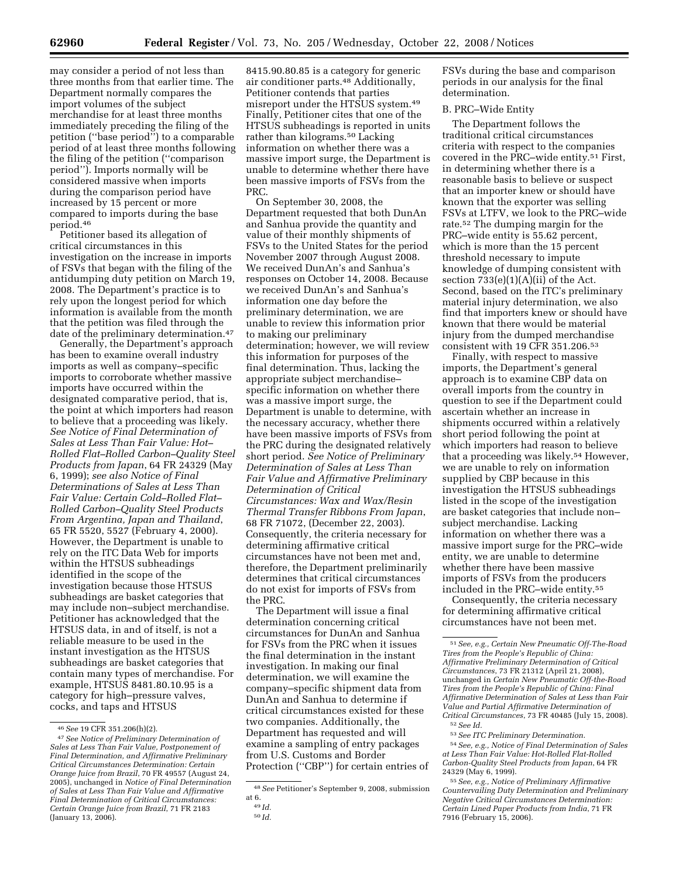may consider a period of not less than three months from that earlier time. The Department normally compares the import volumes of the subject merchandise for at least three months immediately preceding the filing of the petition (''base period'') to a comparable period of at least three months following the filing of the petition (''comparison period''). Imports normally will be considered massive when imports during the comparison period have increased by 15 percent or more compared to imports during the base period.46

Petitioner based its allegation of critical circumstances in this investigation on the increase in imports of FSVs that began with the filing of the antidumping duty petition on March 19, 2008. The Department's practice is to rely upon the longest period for which information is available from the month that the petition was filed through the date of the preliminary determination.47

Generally, the Department's approach has been to examine overall industry imports as well as company–specific imports to corroborate whether massive imports have occurred within the designated comparative period, that is, the point at which importers had reason to believe that a proceeding was likely. *See Notice of Final Determination of Sales at Less Than Fair Value: Hot– Rolled Flat–Rolled Carbon–Quality Steel Products from Japan*, 64 FR 24329 (May 6, 1999); *see also Notice of Final Determinations of Sales at Less Than Fair Value: Certain Cold–Rolled Flat– Rolled Carbon–Quality Steel Products From Argentina, Japan and Thailand*, 65 FR 5520, 5527 (February 4, 2000). However, the Department is unable to rely on the ITC Data Web for imports within the HTSUS subheadings identified in the scope of the investigation because those HTSUS subheadings are basket categories that may include non–subject merchandise. Petitioner has acknowledged that the HTSUS data, in and of itself, is not a reliable measure to be used in the instant investigation as the HTSUS subheadings are basket categories that contain many types of merchandise. For example, HTSUS 8481.80.10.95 is a category for high–pressure valves, cocks, and taps and HTSUS

8415.90.80.85 is a category for generic air conditioner parts.48 Additionally, Petitioner contends that parties misreport under the HTSUS system.49 Finally, Petitioner cites that one of the HTSUS subheadings is reported in units rather than kilograms.50 Lacking information on whether there was a massive import surge, the Department is unable to determine whether there have been massive imports of FSVs from the PRC.

On September 30, 2008, the Department requested that both DunAn and Sanhua provide the quantity and value of their monthly shipments of FSVs to the United States for the period November 2007 through August 2008. We received DunAn's and Sanhua's responses on October 14, 2008. Because we received DunAn's and Sanhua's information one day before the preliminary determination, we are unable to review this information prior to making our preliminary determination; however, we will review this information for purposes of the final determination. Thus, lacking the appropriate subject merchandise– specific information on whether there was a massive import surge, the Department is unable to determine, with the necessary accuracy, whether there have been massive imports of FSVs from the PRC during the designated relatively short period. *See Notice of Preliminary Determination of Sales at Less Than Fair Value and Affirmative Preliminary Determination of Critical Circumstances: Wax and Wax/Resin Thermal Transfer Ribbons From Japan*, 68 FR 71072, (December 22, 2003). Consequently, the criteria necessary for determining affirmative critical circumstances have not been met and, therefore, the Department preliminarily determines that critical circumstances do not exist for imports of FSVs from the PRC.

The Department will issue a final determination concerning critical circumstances for DunAn and Sanhua for FSVs from the PRC when it issues the final determination in the instant investigation. In making our final determination, we will examine the company–specific shipment data from DunAn and Sanhua to determine if critical circumstances existed for these two companies. Additionally, the Department has requested and will examine a sampling of entry packages from U.S. Customs and Border Protection (''CBP'') for certain entries of FSVs during the base and comparison periods in our analysis for the final determination.

# B. PRC–Wide Entity

The Department follows the traditional critical circumstances criteria with respect to the companies covered in the PRC–wide entity.51 First, in determining whether there is a reasonable basis to believe or suspect that an importer knew or should have known that the exporter was selling FSVs at LTFV, we look to the PRC–wide rate.52 The dumping margin for the PRC–wide entity is 55.62 percent, which is more than the 15 percent threshold necessary to impute knowledge of dumping consistent with section  $733(e)(1)(A)(ii)$  of the Act. Second, based on the ITC's preliminary material injury determination, we also find that importers knew or should have known that there would be material injury from the dumped merchandise consistent with 19 CFR 351.206.53

Finally, with respect to massive imports, the Department's general approach is to examine CBP data on overall imports from the country in question to see if the Department could ascertain whether an increase in shipments occurred within a relatively short period following the point at which importers had reason to believe that a proceeding was likely.54 However, we are unable to rely on information supplied by CBP because in this investigation the HTSUS subheadings listed in the scope of the investigation are basket categories that include non– subject merchandise. Lacking information on whether there was a massive import surge for the PRC–wide entity, we are unable to determine whether there have been massive imports of FSVs from the producers included in the PRC–wide entity.55

Consequently, the criteria necessary for determining affirmative critical circumstances have not been met.

54*See, e.g., Notice of Final Determination of Sales at Less Than Fair Value: Hot-Rolled Flat-Rolled Carbon-Quality Steel Products from Japan*, 64 FR 24329 (May 6, 1999).

55*See, e.g., Notice of Preliminary Affirmative Countervailing Duty Determination and Preliminary Negative Critical Circumstances Determination: Certain Lined Paper Products from India*, 71 FR 7916 (February 15, 2006).

<sup>46</sup>*See* 19 CFR 351.206(h)(2). 47*See Notice of Preliminary Determination of Sales at Less Than Fair Value, Postponement of Final Determination, and Affirmative Preliminary Critical Circumstances Determination: Certain Orange Juice from Brazil*, 70 FR 49557 (August 24, 2005), unchanged in *Notice of Final Determination of Sales at Less Than Fair Value and Affirmative Final Determination of Critical Circumstances: Certain Orange Juice from Brazil*, 71 FR 2183 (January 13, 2006).

<sup>48</sup>*See* Petitioner's September 9, 2008, submission at 6.

<sup>49</sup> *Id.* 

<sup>50</sup> *Id.* 

<sup>51</sup>*See, e.g., Certain New Pneumatic Off-The-Road Tires from the People's Republic of China: Affirmative Preliminary Determination of Critical Circumstances*, 73 FR 21312 (April 21, 2008), unchanged in *Certain New Pneumatic Off-the-Road Tires from the People's Republic of China: Final Affirmative Determination of Sales at Less than Fair Value and Partial Affirmative Determination of Critical Circumstances*, 73 FR 40485 (July 15, 2008). 52*See Id.* 

<sup>53</sup>*See ITC Preliminary Determination*.